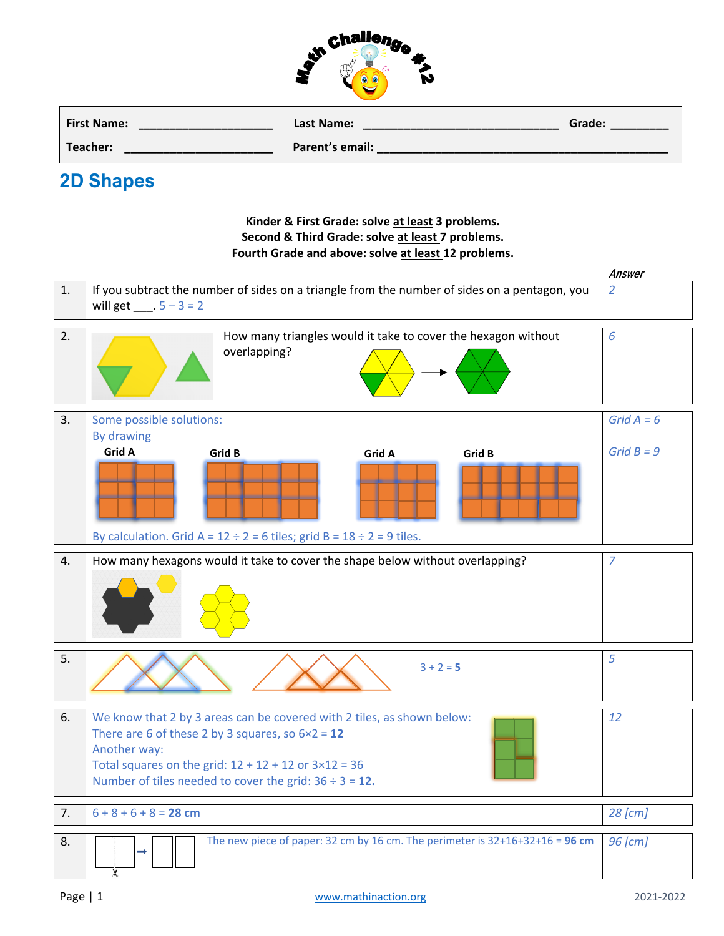

| <b>First Name:</b> | Last Name:      | Grade: |
|--------------------|-----------------|--------|
| Teacher:           | Parent's email: |        |

## **2D Shapes**

## **Kinder & First Grade: solve at least 3 problems. Second & Third Grade: solve at least 7 problems. Fourth Grade and above: solve at least 12 problems.**